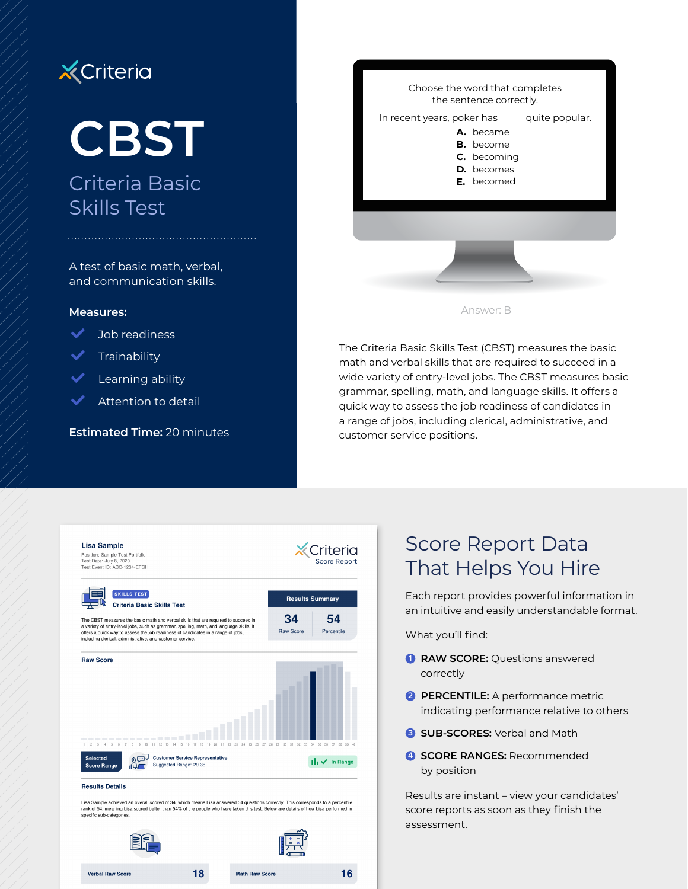## **X** Criteria

# **CBST**

## Criteria Basic Skills Test

A test of basic math, verbal, and communication skills.

#### **Measures:**



- **Trainability**
- Learning ability
- Attention to detail

**Estimated Time:** 20 minutes



The Criteria Basic Skills Test (CBST) measures the basic math and verbal skills that are required to succeed in a wide variety of entry-level jobs. The CBST measures basic grammar, spelling, math, and language skills. It offers a quick way to assess the job readiness of candidates in a range of jobs, including clerical, administrative, and customer service positions.



18

**Math Raw Score** 

**Verhal Raw Score** 

### Score Report Data That Helps You Hire

Each report provides powerful information in an intuitive and easily understandable format.

What you'll find:

16

- **1 RAW SCORE:** Questions answered correctly
- **2 PERCENTILE:** A performance metric indicating performance relative to others
- **8** SUB-SCORES: Verbal and Math
- **4 SCORE RANGES:** Recommended by position

Results are instant – view your candidates' score reports as soon as they finish the assessment.